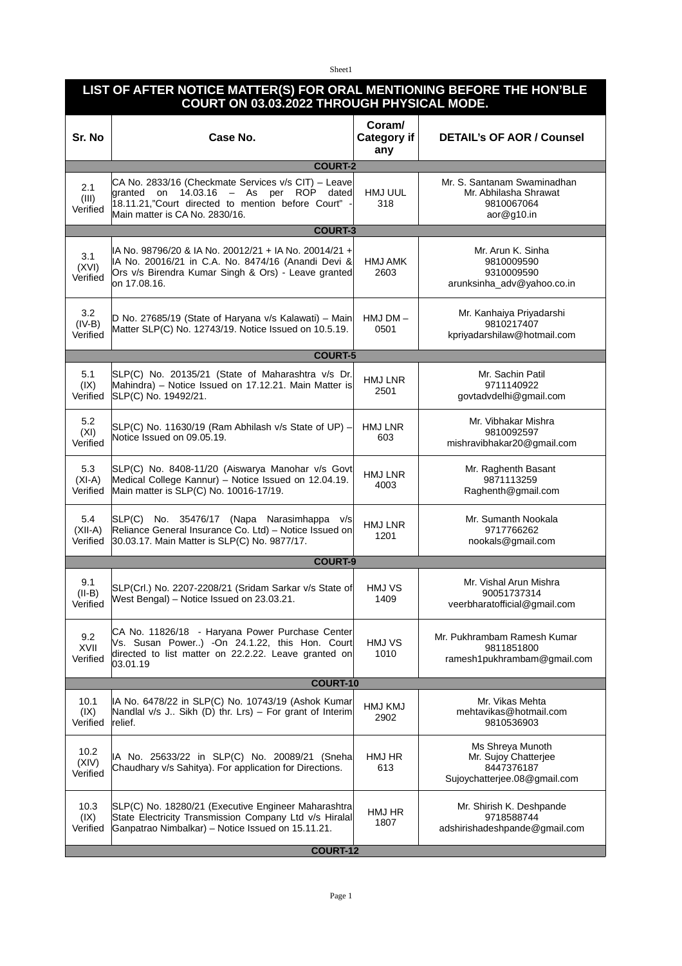Sheet1

| LIST OF AFTER NOTICE MATTER(S) FOR ORAL MENTIONING BEFORE THE HON'BLE<br><b>COURT ON 03.03.2022 THROUGH PHYSICAL MODE.</b> |         |                         |                               |  |  |
|----------------------------------------------------------------------------------------------------------------------------|---------|-------------------------|-------------------------------|--|--|
| Cu Na                                                                                                                      | $C = A$ | Coram/<br>$Cother - m.$ | <b>DETAILLOF AOD LCoursel</b> |  |  |

| Sr. No                       | Case No.                                                                                                                                                                               | Category if<br>any | <b>DETAIL's OF AOR / Counsel</b>                                                       |  |  |  |  |
|------------------------------|----------------------------------------------------------------------------------------------------------------------------------------------------------------------------------------|--------------------|----------------------------------------------------------------------------------------|--|--|--|--|
|                              | <b>COURT-2</b>                                                                                                                                                                         |                    |                                                                                        |  |  |  |  |
| 2.1<br>(III)<br>Verified     | CA No. 2833/16 (Checkmate Services v/s CIT) - Leave<br>granted on 14.03.16 - As per ROP dated<br>18.11.21,"Court directed to mention before Court" -<br>Main matter is CA No. 2830/16. | HMJ UUL<br>318     | Mr. S. Santanam Swaminadhan<br>Mr. Abhilasha Shrawat<br>9810067064<br>aor@g10.in       |  |  |  |  |
| <b>COURT-3</b>               |                                                                                                                                                                                        |                    |                                                                                        |  |  |  |  |
| 3.1<br>(XVI)<br>Verified     | IA No. 98796/20 & IA No. 20012/21 + IA No. 20014/21 +<br>IA No. 20016/21 in C.A. No. 8474/16 (Anandi Devi &<br>Ors v/s Birendra Kumar Singh & Ors) - Leave granted<br>on 17.08.16.     | HMJ AMK<br>2603    | Mr. Arun K. Sinha<br>9810009590<br>9310009590<br>arunksinha_adv@yahoo.co.in            |  |  |  |  |
| 3.2<br>$(IV-B)$<br>Verified  | D No. 27685/19 (State of Haryana v/s Kalawati) - Main<br>Matter SLP(C) No. 12743/19. Notice Issued on 10.5.19.                                                                         | $HMJ DM -$<br>0501 | Mr. Kanhaiya Priyadarshi<br>9810217407<br>kpriyadarshilaw@hotmail.com                  |  |  |  |  |
| <b>COURT-5</b>               |                                                                                                                                                                                        |                    |                                                                                        |  |  |  |  |
| 5.1<br>(IX)<br>Verified      | SLP(C) No. 20135/21 (State of Maharashtra v/s Dr.<br>Mahindra) - Notice Issued on 17.12.21. Main Matter is<br>SLP(C) No. 19492/21.                                                     | HMJ LNR<br>2501    | Mr. Sachin Patil<br>9711140922<br>govtadvdelhi@gmail.com                               |  |  |  |  |
| 5.2<br>(XI)<br>Verified      | SLP(C) No. 11630/19 (Ram Abhilash v/s State of UP) -<br>Notice Issued on 09.05.19.                                                                                                     | HMJ LNR<br>603     | Mr. Vibhakar Mishra<br>9810092597<br>mishravibhakar20@gmail.com                        |  |  |  |  |
| 5.3<br>$(XI-A)$<br>Verified  | SLP(C) No. 8408-11/20 (Aiswarya Manohar v/s Govt<br>Medical College Kannur) - Notice Issued on 12.04.19.<br>Main matter is SLP(C) No. 10016-17/19.                                     | HMJ LNR<br>4003    | Mr. Raghenth Basant<br>9871113259<br>Raghenth@gmail.com                                |  |  |  |  |
| 5.4<br>$(XII-A)$<br>Verified | SLP(C) No. 35476/17 (Napa Narasimhappa v/s<br>Reliance General Insurance Co. Ltd) - Notice Issued on<br>30.03.17. Main Matter is SLP(C) No. 9877/17.                                   | HMJ LNR<br>1201    | Mr. Sumanth Nookala<br>9717766262<br>nookals@gmail.com                                 |  |  |  |  |
|                              | <b>COURT-9</b>                                                                                                                                                                         |                    |                                                                                        |  |  |  |  |
| 9.1<br>$(II-B)$<br>Verified  | SLP(Crl.) No. 2207-2208/21 (Sridam Sarkar v/s State of<br>West Bengal) - Notice Issued on 23.03.21.                                                                                    | HMJ VS<br>1409     | Mr. Vishal Arun Mishra<br>90051737314<br>veerbharatofficial@gmail.com                  |  |  |  |  |
| 9.2<br>XVII<br>Verified      | CA No. 11826/18 - Haryana Power Purchase Center<br>Vs. Susan Power) -On 24.1.22, this Hon. Court<br>directed to list matter on 22.2.22. Leave granted on<br>03.01.19                   | HMJ VS<br>1010     | Mr. Pukhrambam Ramesh Kumar<br>9811851800<br>ramesh1pukhrambam@gmail.com               |  |  |  |  |
| COURT-10                     |                                                                                                                                                                                        |                    |                                                                                        |  |  |  |  |
| 10.1<br>(IX)<br>Verified     | IA No. 6478/22 in SLP(C) No. 10743/19 (Ashok Kumar<br>Nandlal v/s J Sikh (D) thr. Lrs) - For grant of Interim<br>relief.                                                               | HMJ KMJ<br>2902    | Mr. Vikas Mehta<br>mehtavikas@hotmail.com<br>9810536903                                |  |  |  |  |
| 10.2<br>(XIV)<br>Verified    | IA No. 25633/22 in SLP(C) No. 20089/21 (Sneha<br>Chaudhary v/s Sahitya). For application for Directions.                                                                               | HMJ HR<br>613      | Ms Shreya Munoth<br>Mr. Sujoy Chatterjee<br>8447376187<br>Sujoychatterjee.08@gmail.com |  |  |  |  |
| 10.3<br>(IX)<br>Verified     | SLP(C) No. 18280/21 (Executive Engineer Maharashtra<br>State Electricity Transmission Company Ltd v/s Hiralal<br>Ganpatrao Nimbalkar) - Notice Issued on 15.11.21.                     | HMJ HR<br>1807     | Mr. Shirish K. Deshpande<br>9718588744<br>adshirishadeshpande@gmail.com                |  |  |  |  |
| <b>COURT-12</b>              |                                                                                                                                                                                        |                    |                                                                                        |  |  |  |  |